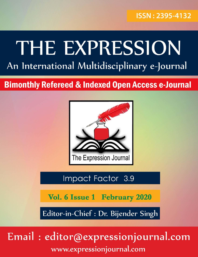### ISSN: 2395-4132

# THE EXPRESSION An International Multidisciplinary e-Journal

## **Bimonthly Refereed & Indexed Open Access e-Journal**



### Impact Factor 3.9

Vol. 6 Issue 1 February 2020

Editor-in-Chief : Dr. Bijender Singh

## Email: editor@expressionjournal.com www.expressionjournal.com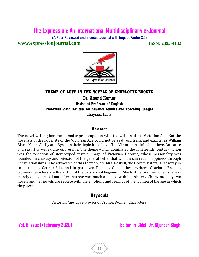**(A Peer Reviewed and Indexed Journal with Impact Factor 3.9)**

**www.expressionjournal.com ISSN: 2395-4132** 



#### **THEME OF LOVE IN THE NOVELS OF CHARLOTTE BRONTE Dr. Anand Kumar Assistant Professor of English Prarambh State Institute for Advance Studies and Teaching, Jhajjar Haryana, India**

**::::::::::::::::::::::::::::::::::::::::::::::::::::::::::::::::::::::::::::::::::::::::::::::::::::::::::::::**

#### **Abstract**

The novel writing becomes a major preoccupation with the writers of the Victorian Age. But the novelists of the novelists of the Victorian Age could not be as direct, frank and explicit as William Black, Keats, Shelly and Byron in their depiction of love. The Victorian beliefs about love, Romance and sexuality were quite oppressive. The theme which dominated the nineteenth century fiction was the rejection of stereotyped insipid image of Victorian Heroine, whose personality was founded on chastity and rejection of the general belief that woman can reach happiness through her relationships. The advocates of this theme were Mrs. Gaskell, the Bronte sisters, Thackeray in some moods, George Eliot and in part even Dickens. Out of these writers, Charlotte Bronte's women characters are the victim of the patriarchal hegemony. She lost her mother when she was merely one years old and after that she was much attached with her sisiters. She wrote only two novels and her novels are replete with the emotions and feelings of the women of the age in which they lived.

#### **Keywords**

Victorian Age, Love, Novels of Bronte, Women Characters.

**::::::::::::::::::::::::::::::::::::::::::::::::::::::::::::::::::::::::::::::::::::::::::::::::::::::::::::::**

**Vol. 6 Issue 1 (February 2020) Editor-in-Chief: Dr. Bijender Singh**

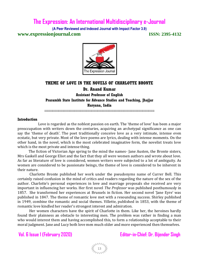**(A Peer Reviewed and Indexed Journal with Impact Factor 3.9) www.expressionjournal.com ISSN: 2395-4132** 



#### **THEME OF LOVE IN THE NOVELS OF CHARLOTTE BRONTE Dr. Anand Kumar Assistant Professor of English Prarambh State Institute for Advance Studies and Teaching, Jhajjar Haryana, India**

**::::::::::::::::::::::::::::::::::::::::::::::::::::::::::::::::::::::::::::::::::::::::::::::::::::::::::::::**

#### **Introduction**

 Love is regarded as the noblest passion on earth. The 'theme of love' has been a major preoccupation with writers down the centuries, acquiring an archetypal significance as one can say the 'theme of death'. The poet traditionally conceive love as a very intimate, intense even ecstatic, but very private. Most of the love poems are lyrics, dealing with intense moments. On the other hand, in the novel, which is the most celebrated imaginative form, the novelist treats love which is the most private and intense thing.

 The fiction of Victorian Age spring to the mind the names- Jane Austen, the Bronte sisters, Mrs Gaskell and George Eliot and the fact that they all were women authors and wrote about love. As far as literature of love is considered, women writers were subjected to a lot of ambiguity. As women are considered to be passionate beings, the theme of love is considered to be inherent in their nature.

 Charlotte Bronte published her work under the pseudonyms name of Currer Bell. This certainly raised confusion in the mind of critics and readers regarding the nature of the sex of the author. Charlotte's personal experiences in love and marriage proposals she received are very important in influencing her works. Her first novel *The Professor* was published posthumously in 1857. She transformed her experiences at Brussels in fiction. Her second novel 'Jane Eyre' was published in 1847. The theme of romantic love met with a resounding success. Shirley published in 1949, combine the romantic and social themes. Villette, published in 1853, with the theme of romantic love kindled her reader's strongest interest and admiration.

Her women characters have the spirit of Charlotte in them. Like her, the heroines hardly found their plainness an obstacle to interesting men. The problem was rather in finding a man who would interest them and having accomplished this, to form a relationship acceptable to their moral judgment. Jane and Lucy both love men much older and more experienced then themselves.

**Vol. 6 Issue 1 (February 2020) Editor-in-Chief: Dr. Bijender Singh**

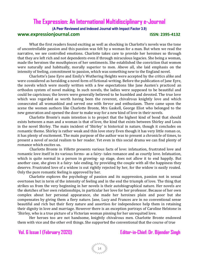**(A Peer Reviewed and Indexed Journal with Impact Factor 3.9) www.expressionjournal.com** 

What the first readers found exciting as well as shocking in Charlotte's novels was the tone of uncontrollable passion and this passion was felt by a woman for a man. But when we read the narrative, we see controlled emotions. Charlotte takes care to provide her heroines so through that they are left rich and not dependents even if through miraculous legacies. She being a woman, made the heroines the mouthpieces of her sentiments. She established the conviction that women were naturally and habitually, morally superior to men. Above all, she laid emphasis on the intensity of feeling, commitment to passion, which was something new to the England novel.

Charlotte's Jane Eyre and Emily's Wuthering Heights were accepted by the critics alike and were considered as heralding a novel form of fictional-writing. Before the publication of Jane Eyre, the novels which were mostly written with a few expectations like Jane Austen's practiced an orthodox system of novel making. In such novels, the ladies were supposed to be beautiful and could be capricious; the lovers were generally believed to be humbled and devoted. The true love which was regarded as worth having been the reverent, chivalrous knightly love and which consecrated all womankind and served one with fervor and enthusiasm. There came upon the scene the women authors like Charlotte Bronte, Mrs Gaskell, George Eliot who belonged to the new generation and opened the door to make way for a new kind of love in their novels.

Charlotte Bronte's main intention is to project that the highest kind of bond that should exists between a man and a woman is that of love, the kind that exists between Shirley and Louis in the novel Shirley. The main incident of 'Shirley' is historical in nature, though it concludes on romantic theme. Shirley is rather weak and thin love story Even though it has very little roman ce, it has plenty of excitement. The main purpose of the author was to present a chronicle of times, to present a novel of social realism to her reader. Yet even in this social drama we can find plenty of romance which excites us.

 Charlotte Bronte in *Villette* presents various facts of love: infatuation, frustrated love and romantic love itself in its various forms- as a fairy- tales romance and as courtly love. Infatuation, which is quite normal in a person in growing- up stage, does not allow it to end happily. But another case, she gives it a fairy- tale ending, by providing the couple with all the happiness they deserve. Frustrated love of a widow is out rightly rejected by her, for the widow is easily routed. Only the pure romantic feeling is approved by her.

Charlotte explores the psychology of passion and its suppression, passion not in sexual overtones but in term of the intensity of feeling and in the end the triumph of love. The thing that strikes us from the very beginning in her novels is their autobiographical nature. Her novels are the sketches of her own relationships, in particular her love for her professor. Because of her own complex about her personal appearance, she made her heroines plain and poor but she compensates by giving them a fiery nature. Jane, Lucy and Frances are in no conventional sense beautiful and rich but their fiery nature and assertion for independence help them in retaining their dignity in love and marriage. However there is an exception portrays of Caroline Helstone in 'Shirley, who is a true picture of a Victorian woman pinning for her unrequited love.

Her heroes too are not handsome, knightly chivalrous men. Charlotte Bronte endowed them with vice and the other evil things. She supported the conventional that the course of true

#### **Vol. 6 Issue 1 (February 2020) Editor-in-Chief: Dr. Bijender Singh**